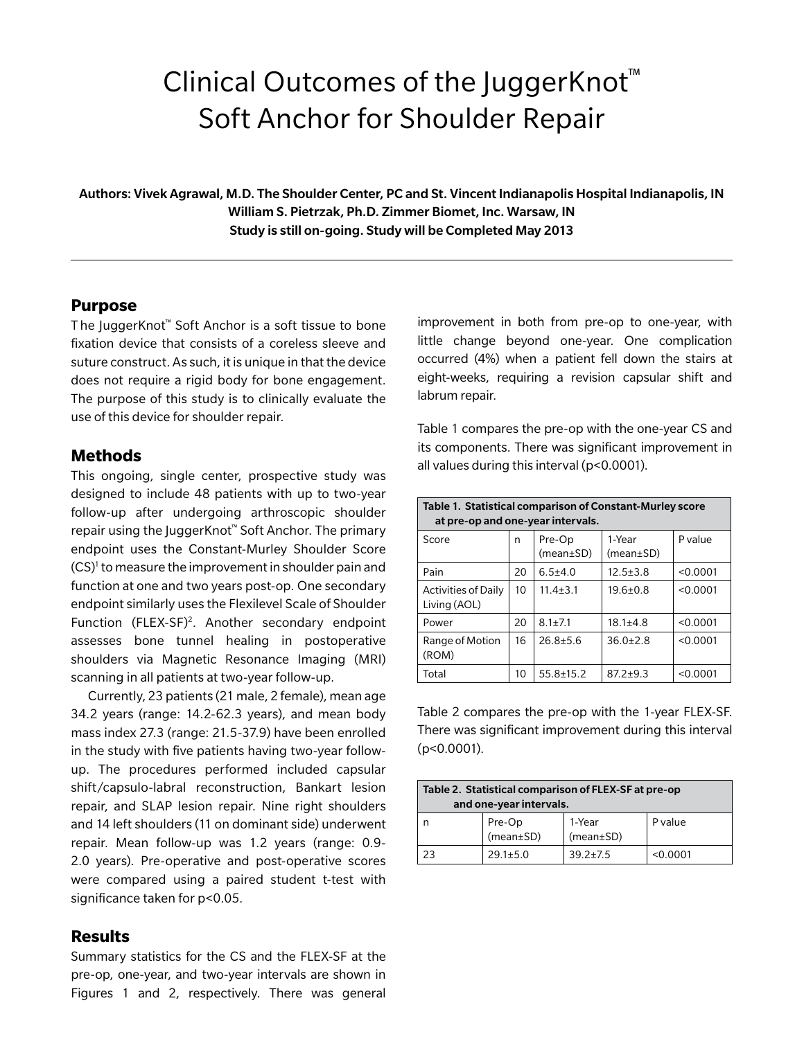# Clinical Outcomes of the JuggerKnot™ Soft Anchor for Shoulder Repair

Authors: Vivek Agrawal, M.D. The Shoulder Center, PC and St. Vincent Indianapolis Hospital Indianapolis, IN William S. Pietrzak, Ph.D. Zimmer Biomet, Inc. Warsaw, IN Study is still on-going. Study will be Completed May 2013

# **Purpose**

T he JuggerKnot™ Soft Anchor is a soft tissue to bone fixation device that consists of a coreless sleeve and suture construct. As such, it is unique in that the device does not require a rigid body for bone engagement. The purpose of this study is to clinically evaluate the use of this device for shoulder repair.

# **Methods**

This ongoing, single center, prospective study was designed to include 48 patients with up to two-year follow-up after undergoing arthroscopic shoulder repair using the JuggerKnot™ Soft Anchor. The primary endpoint uses the Constant-Murley Shoulder Score (CS)<sup>1</sup> to measure the improvement in shoulder pain and function at one and two years post-op. One secondary endpoint similarly uses the Flexilevel Scale of Shoulder Function (FLEX-SF)<sup>2</sup>. Another secondary endpoint assesses bone tunnel healing in postoperative shoulders via Magnetic Resonance Imaging (MRI) scanning in all patients at two-year follow-up.

Currently, 23 patients (21 male, 2 female), mean age 34.2 years (range: 14.2-62.3 years), and mean body mass index 27.3 (range: 21.5-37.9) have been enrolled in the study with five patients having two-year followup. The procedures performed included capsular shift/capsulo-labral reconstruction, Bankart lesion repair, and SLAP lesion repair. Nine right shoulders and 14 left shoulders (11 on dominant side) underwent repair. Mean follow-up was 1.2 years (range: 0.9- 2.0 years). Pre-operative and post-operative scores were compared using a paired student t-test with significance taken for p<0.05.

# **Results**

Summary statistics for the CS and the FLEX-SF at the pre-op, one-year, and two-year intervals are shown in Figures 1 and 2, respectively. There was general

improvement in both from pre-op to one-year, with little change beyond one-year. One complication occurred (4%) when a patient fell down the stairs at eight-weeks, requiring a revision capsular shift and labrum repair.

Table 1 compares the pre-op with the one-year CS and its components. There was significant improvement in all values during this interval (p<0.0001).

| Table 1. Statistical comparison of Constant-Murley score<br>at pre-op and one-year intervals. |    |                           |                           |          |  |  |
|-----------------------------------------------------------------------------------------------|----|---------------------------|---------------------------|----------|--|--|
| Score                                                                                         | n  | Pre-Op<br>$(mean \pm SD)$ | 1-Year<br>$(mean \pm SD)$ | P value  |  |  |
| Pain                                                                                          | 20 | $6.5 + 4.0$               | $12.5 \pm 3.8$            | < 0.0001 |  |  |
| <b>Activities of Daily</b><br>Living (AOL)                                                    | 10 | $11.4 + 3.1$              | $19.6 + 0.8$              | < 0.0001 |  |  |
| Power                                                                                         | 20 | $8.1 \pm 7.1$             | $18.1 + 4.8$              | < 0.0001 |  |  |
| Range of Motion<br>(ROM)                                                                      | 16 | $26.8 + 5.6$              | $36.0 + 2.8$              | < 0.0001 |  |  |
| Total                                                                                         | 10 | $55.8 + 15.2$             | $87.2 + 9.3$              | < 0.0001 |  |  |

Table 2 compares the pre-op with the 1-year FLEX-SF. There was significant improvement during this interval (p<0.0001).

| Table 2. Statistical comparison of FLEX-SF at pre-op<br>and one-year intervals. |                     |                           |          |  |  |  |
|---------------------------------------------------------------------------------|---------------------|---------------------------|----------|--|--|--|
| n                                                                               | Pre-Op<br>(mean±SD) | 1-Year<br>$(mean \pm SD)$ | P value  |  |  |  |
|                                                                                 | $29.1 + 5.0$        | $39.2 + 7.5$              | < 0.0001 |  |  |  |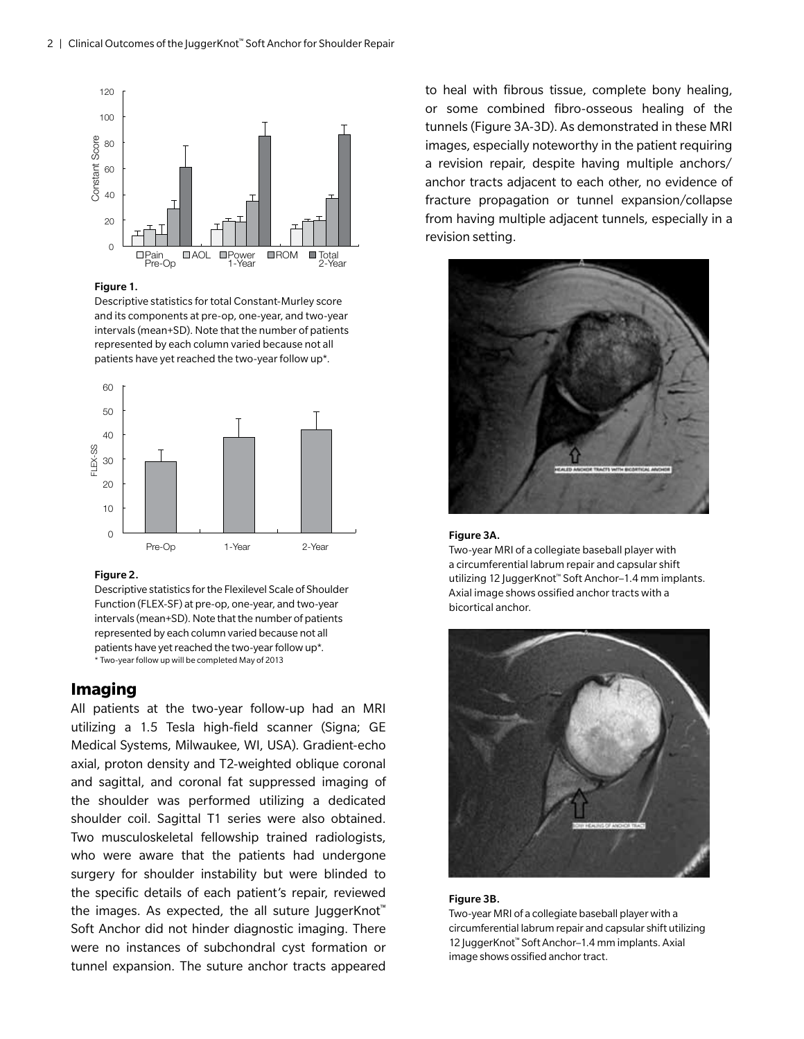

## Figure 1.

Descriptive statistics for total Constant-Murley score and its components at pre-op, one-year, and two-year intervals (mean+SD). Note that the number of patients represented by each column varied because not all patients have yet reached the two-year follow up\*.



## Figure 2.

Descriptive statistics for the Flexilevel Scale of Shoulder Function (FLEX-SF) at pre-op, one-year, and two-year intervals (mean+SD). Note that the number of patients represented by each column varied because not all patients have yet reached the two-year follow up\*. \* Two-year follow up will be completed May of 2013

## **Imaging**

All patients at the two-year follow-up had an MRI utilizing a 1.5 Tesla high-field scanner (Signa; GE Medical Systems, Milwaukee, WI, USA). Gradient-echo axial, proton density and T2-weighted oblique coronal and sagittal, and coronal fat suppressed imaging of the shoulder was performed utilizing a dedicated shoulder coil. Sagittal T1 series were also obtained. Two musculoskeletal fellowship trained radiologists, who were aware that the patients had undergone surgery for shoulder instability but were blinded to the specific details of each patient's repair, reviewed the images. As expected, the all suture JuggerKnot<sup>™</sup> Soft Anchor did not hinder diagnostic imaging. There were no instances of subchondral cyst formation or tunnel expansion. The suture anchor tracts appeared

to heal with fibrous tissue, complete bony healing, or some combined fibro-osseous healing of the tunnels (Figure 3A-3D). As demonstrated in these MRI images, especially noteworthy in the patient requiring a revision repair, despite having multiple anchors/ anchor tracts adjacent to each other, no evidence of fracture propagation or tunnel expansion/collapse from having multiple adjacent tunnels, especially in a revision setting.



#### Figure 3A.

Two-year MRI of a collegiate baseball player with a circumferential labrum repair and capsular shift utilizing 12 JuggerKnot™ Soft Anchor–1.4 mm implants. Axial image shows ossified anchor tracts with a bicortical anchor.



## Figure 3B.

Two-year MRI of a collegiate baseball player with a circumferential labrum repair and capsular shift utilizing 12 JuggerKnot™ Soft Anchor–1.4 mm implants. Axial image shows ossified anchor tract.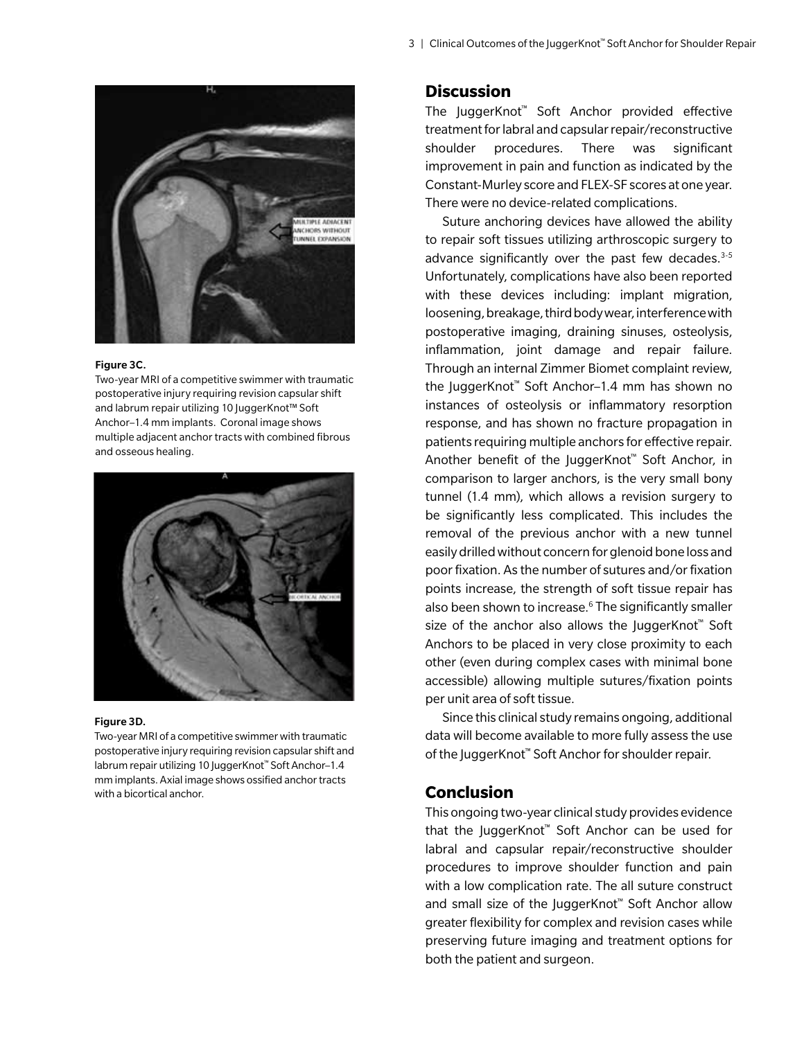

#### Figure 3C.

Two-year MRI of a competitive swimmer with traumatic postoperative injury requiring revision capsular shift and labrum repair utilizing 10 JuggerKnot™ Soft Anchor–1.4 mm implants. Coronal image shows multiple adjacent anchor tracts with combined fibrous and osseous healing.



#### Figure 3D.

Two-year MRI of a competitive swimmer with traumatic postoperative injury requiring revision capsular shift and labrum repair utilizing 10 JuggerKnot™ Soft Anchor–1.4 mm implants. Axial image shows ossified anchor tracts with a bicortical anchor.

# **Discussion**

The JuggerKnot™ Soft Anchor provided effective treatment for labral and capsular repair/reconstructive shoulder procedures. There was significant improvement in pain and function as indicated by the Constant-Murley score and FLEX-SF scores at one year. There were no device-related complications.

Suture anchoring devices have allowed the ability to repair soft tissues utilizing arthroscopic surgery to advance significantly over the past few decades. $3-5$ Unfortunately, complications have also been reported with these devices including: implant migration, loosening, breakage, third body wear, interference with postoperative imaging, draining sinuses, osteolysis, inflammation, joint damage and repair failure. Through an internal Zimmer Biomet complaint review, the JuggerKnot™ Soft Anchor–1.4 mm has shown no instances of osteolysis or inflammatory resorption response, and has shown no fracture propagation in patients requiring multiple anchors for effective repair. Another benefit of the JuggerKnot™ Soft Anchor, in comparison to larger anchors, is the very small bony tunnel (1.4 mm), which allows a revision surgery to be significantly less complicated. This includes the removal of the previous anchor with a new tunnel easily drilled without concern for glenoid bone loss and poor fixation. As the number of sutures and/or fixation points increase, the strength of soft tissue repair has also been shown to increase.<sup>6</sup> The significantly smaller size of the anchor also allows the JuggerKnot<sup>™</sup> Soft Anchors to be placed in very close proximity to each other (even during complex cases with minimal bone accessible) allowing multiple sutures/fixation points per unit area of soft tissue.

Since this clinical study remains ongoing, additional data will become available to more fully assess the use of the JuggerKnot™ Soft Anchor for shoulder repair.

# **Conclusion**

This ongoing two-year clinical study provides evidence that the JuggerKnot™ Soft Anchor can be used for labral and capsular repair/reconstructive shoulder procedures to improve shoulder function and pain with a low complication rate. The all suture construct and small size of the JuggerKnot™ Soft Anchor allow greater flexibility for complex and revision cases while preserving future imaging and treatment options for both the patient and surgeon.